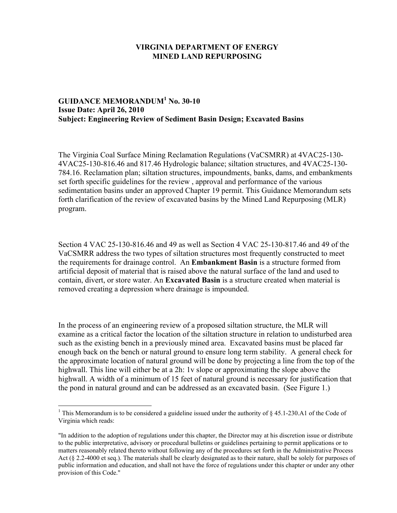## **VIRGINIA DEPARTMENT OF ENERGY MINED LAND REPURPOSING**

## **GUIDANCE MEMORANDUM<sup>1</sup> No. 30-10 Issue Date: April 26, 2010 Subject: Engineering Review of Sediment Basin Design; Excavated Basins**

The Virginia Coal Surface Mining Reclamation Regulations (VaCSMRR) at 4VAC25-130- 4VAC25-130-816.46 and 817.46 Hydrologic balance; siltation structures, and 4VAC25-130- 784.16. Reclamation plan; siltation structures, impoundments, banks, dams, and embankments set forth specific guidelines for the review , approval and performance of the various sedimentation basins under an approved Chapter 19 permit. This Guidance Memorandum sets forth clarification of the review of excavated basins by the Mined Land Repurposing (MLR) program.

Section 4 VAC 25-130-816.46 and 49 as well as Section 4 VAC 25-130-817.46 and 49 of the VaCSMRR address the two types of siltation structures most frequently constructed to meet the requirements for drainage control. An **Embankment Basin** is a structure formed from artificial deposit of material that is raised above the natural surface of the land and used to contain, divert, or store water. An **Excavated Basin** is a structure created when material is removed creating a depression where drainage is impounded.

In the process of an engineering review of a proposed siltation structure, the MLR will examine as a critical factor the location of the siltation structure in relation to undisturbed area such as the existing bench in a previously mined area. Excavated basins must be placed far enough back on the bench or natural ground to ensure long term stability. A general check for the approximate location of natural ground will be done by projecting a line from the top of the highwall. This line will either be at a 2h: 1v slope or approximating the slope above the highwall. A width of a minimum of 15 feet of natural ground is necessary for justification that the pond in natural ground and can be addressed as an excavated basin. (See Figure 1.)

<sup>&</sup>lt;sup>1</sup> This Memorandum is to be considered a guideline issued under the authority of  $\S$  45.1-230.A1 of the Code of Virginia which reads:

<sup>&</sup>quot;In addition to the adoption of regulations under this chapter, the Director may at his discretion issue or distribute to the public interpretative, advisory or procedural bulletins or guidelines pertaining to permit applications or to matters reasonably related thereto without following any of the procedures set forth in the Administrative Process Act (§ 2.2-4000 et seq.). The materials shall be clearly designated as to their nature, shall be solely for purposes of public information and education, and shall not have the force of regulations under this chapter or under any other provision of this Code."